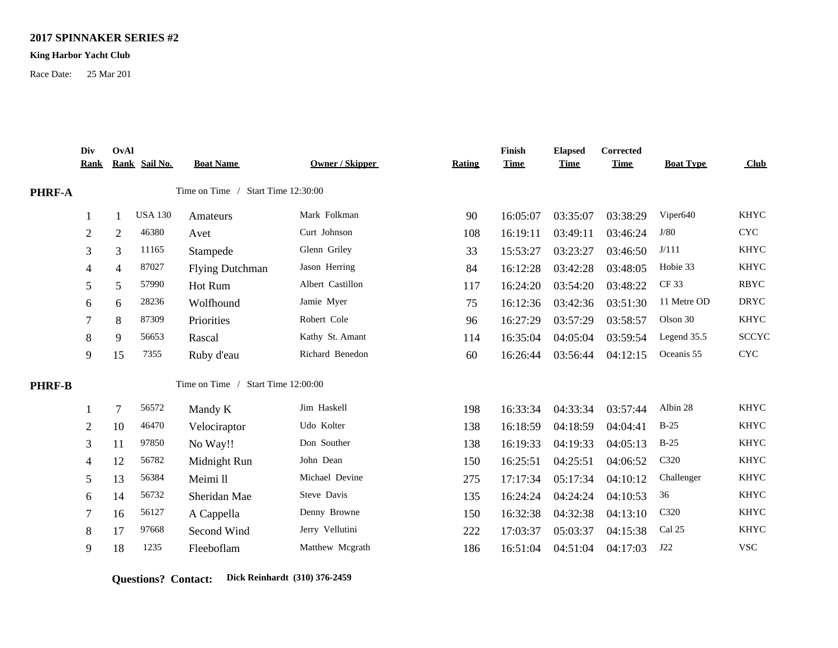## **2017 SPINNAKER SERIES #2**

## **King Harbor Yacht Club**

Race Date: 25 Mar 201

|        | Div<br><u>Rank</u>                 | OvAl           | Rank Sail No.  | <b>Boat Name</b>                   | Owner / Skipper  | <b>Rating</b> | Finish<br><b>Time</b> | <b>Elapsed</b><br><b>Time</b> | Corrected<br><b>Time</b> | <b>Boat Type</b> | Club                      |
|--------|------------------------------------|----------------|----------------|------------------------------------|------------------|---------------|-----------------------|-------------------------------|--------------------------|------------------|---------------------------|
| PHRF-A | Time on Time / Start Time 12:30:00 |                |                |                                    |                  |               |                       |                               |                          |                  |                           |
|        |                                    |                | <b>USA 130</b> | Amateurs                           | Mark Folkman     | 90            | 16:05:07              | 03:35:07                      | 03:38:29                 | Viper640         | <b>KHYC</b>               |
|        | $\overline{2}$                     | $\overline{2}$ | 46380          | Avet                               | Curt Johnson     | 108           | 16:19:11              | 03:49:11                      | 03:46:24                 | J/80             | $\ensuremath{\text{CYC}}$ |
|        | 3                                  | 3              | 11165          | Stampede                           | Glenn Griley     | 33            | 15:53:27              | 03:23:27                      | 03:46:50                 | J/111            | <b>KHYC</b>               |
|        | 4                                  | 4              | 87027          | <b>Flying Dutchman</b>             | Jason Herring    | 84            | 16:12:28              | 03:42:28                      | 03:48:05                 | Hobie 33         | <b>KHYC</b>               |
|        | 5                                  | 5              | 57990          | Hot Rum                            | Albert Castillon | 117           | 16:24:20              | 03:54:20                      | 03:48:22                 | <b>CF33</b>      | <b>RBYC</b>               |
|        | 6                                  | 6              | 28236          | Wolfhound                          | Jamie Myer       | 75            | 16:12:36              | 03:42:36                      | 03:51:30                 | 11 Metre OD      | <b>DRYC</b>               |
|        |                                    | 8              | 87309          | Priorities                         | Robert Cole      | 96            | 16:27:29              | 03:57:29                      | 03:58:57                 | Olson 30         | <b>KHYC</b>               |
|        | 8                                  | 9              | 56653          | Rascal                             | Kathy St. Amant  | 114           | 16:35:04              | 04:05:04                      | 03:59:54                 | Legend 35.5      | <b>SCCYC</b>              |
|        | 9                                  | 15             | 7355           | Ruby d'eau                         | Richard Benedon  | 60            | 16:26:44              | 03:56:44                      | 04:12:15                 | Oceanis 55       | $\ensuremath{\text{CYC}}$ |
| PHRF-B |                                    |                |                | Time on Time / Start Time 12:00:00 |                  |               |                       |                               |                          |                  |                           |
|        |                                    | 7              | 56572          | Mandy K                            | Jim Haskell      | 198           | 16:33:34              | 04:33:34                      | 03:57:44                 | Albin 28         | <b>KHYC</b>               |
|        | 2                                  | 10             | 46470          | Velociraptor                       | Udo Kolter       | 138           | 16:18:59              | 04:18:59                      | 04:04:41                 | $B-25$           | <b>KHYC</b>               |
|        | 3                                  | 11             | 97850          | No Way!!                           | Don Souther      | 138           | 16:19:33              | 04:19:33                      | 04:05:13                 | $B-25$           | <b>KHYC</b>               |
|        | 4                                  | 12             | 56782          | Midnight Run                       | John Dean        | 150           | 16:25:51              | 04:25:51                      | 04:06:52                 | C320             | <b>KHYC</b>               |
|        | 5                                  | 13             | 56384          | Meimi ll                           | Michael Devine   | 275           | 17:17:34              | 05:17:34                      | 04:10:12                 | Challenger       | <b>KHYC</b>               |
|        | 6                                  | 14             | 56732          | Sheridan Mae                       | Steve Davis      | 135           | 16:24:24              | 04:24:24                      | 04:10:53                 | 36               | <b>KHYC</b>               |
|        |                                    | 16             | 56127          | A Cappella                         | Denny Browne     | 150           | 16:32:38              | 04:32:38                      | 04:13:10                 | C320             | <b>KHYC</b>               |
|        | 8                                  | 17             | 97668          | Second Wind                        | Jerry Vellutini  | 222           | 17:03:37              | 05:03:37                      | 04:15:38                 | Cal 25           | <b>KHYC</b>               |
|        | 9                                  | 18             | 1235           | Fleeboflam                         | Matthew Mcgrath  | 186           | 16:51:04              | 04:51:04                      | 04:17:03                 | J22              | <b>VSC</b>                |

**Questions? Contact: Dick Reinhardt (310) 376-2459**